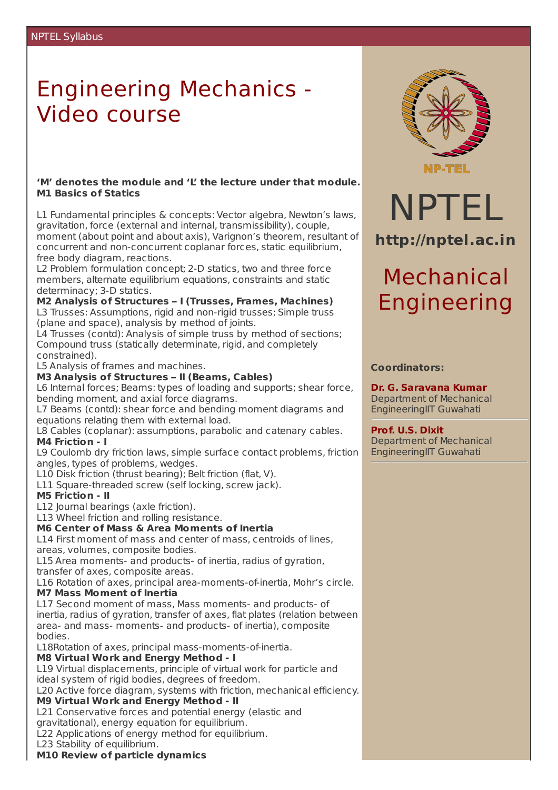# Engineering Mechanics - Video course

#### **'M' denotes the module and 'L' the lecture under that module. M1 Basics of Statics**

L1 Fundamental principles & concepts: Vector algebra, Newton's laws, gravitation, force (external and internal, transmissibility), couple, moment (about point and about axis), Varignon's theorem, resultant of concurrent and non-concurrent coplanar forces, static equilibrium, free body diagram, reactions.

L2 Problem formulation concept; 2-D statics, two and three force members, alternate equilibrium equations, constraints and static determinacy; 3-D statics.

**M2 Analysis of Structures – I (Trusses, Frames, Machines)** L3 Trusses: Assumptions, rigid and non-rigid trusses; Simple truss (plane and space), analysis by method of joints.

L4 Trusses (contd): Analysis of simple truss by method of sections; Compound truss (statically determinate, rigid, and completely constrained).

L5 Analysis of frames and machines.

# **M3 Analysis of Structures – II (Beams, Cables)**

L6 Internal forces; Beams: types of loading and supports; shear force, bending moment, and axial force diagrams.

L7 Beams (contd): shear force and bending moment diagrams and equations relating them with external load.

L8 Cables (coplanar): assumptions, parabolic and catenary cables. **M4 Friction - I**

L9 Coulomb dry friction laws, simple surface contact problems, friction angles, types of problems, wedges.

L10 Disk friction (thrust bearing); Belt friction (flat, V).

L11 Square-threaded screw (self locking, screw jack).

# **M5 Friction - II**

L12 Journal bearings (axle friction).

L13 Wheel friction and rolling resistance.

#### **M6 Center of Mass & Area Moments of Inertia**

L14 First moment of mass and center of mass, centroids of lines, areas, volumes, composite bodies.

L15 Area moments- and products- of inertia, radius of gyration, transfer of axes, composite areas.

L16 Rotation of axes, principal area-moments-of-inertia, Mohr's circle. **M7 Mass Moment of Inertia**

L17 Second moment of mass, Mass moments- and products- of inertia, radius of gyration, transfer of axes, flat plates (relation between area- and mass- moments- and products- of inertia), composite bodies.

L18Rotation of axes, principal mass-moments-of-inertia.

# **M8 Virtual Work and Energy Method - I**

L19 Virtual displacements, principle of virtual work for particle and ideal system of rigid bodies, degrees of freedom.

L20 Active force diagram, systems with friction, mechanical efficiency.

# **M9 Virtual Work and Energy Method - II**

L21 Conservative forces and potential energy (elastic and

gravitational), energy equation for equilibrium.

L22 Applications of energy method for equilibrium.

L23 Stability of equilibrium.

### **M10 Review of particle dynamics**



NPTEL

**http://nptel.ac.in**

Mechanical

Engineering

**Coordinators:**

**Prof. U.S. Dixit**

**Dr. G. Saravana Kumar** Department of Mechanical EngineeringIIT Guwahati

Department of Mechanical EngineeringIIT Guwahati